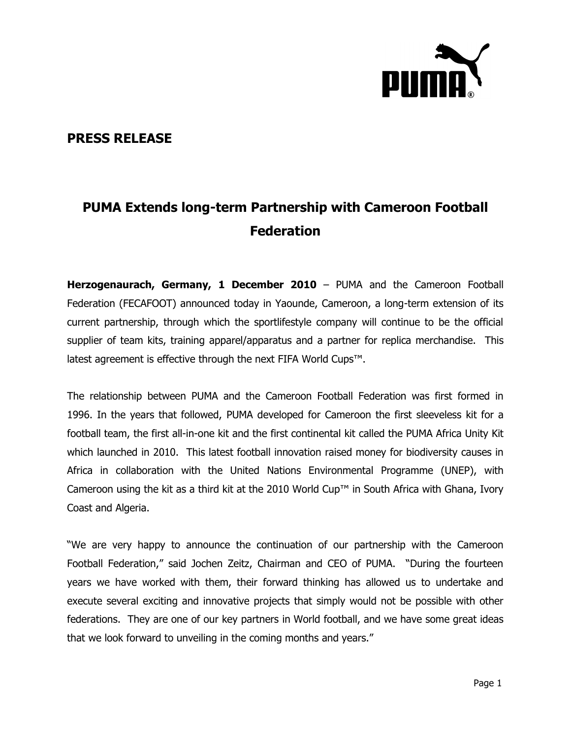

## **PRESS RELEASE**

## **PUMA Extends long-term Partnership with Cameroon Football Federation**

**Herzogenaurach, Germany, 1 December 2010** – PUMA and the Cameroon Football Federation (FECAFOOT) announced today in Yaounde, Cameroon, a long-term extension of its current partnership, through which the sportlifestyle company will continue to be the official supplier of team kits, training apparel/apparatus and a partner for replica merchandise. This latest agreement is effective through the next FIFA World Cups™.

The relationship between PUMA and the Cameroon Football Federation was first formed in 1996. In the years that followed, PUMA developed for Cameroon the first sleeveless kit for a football team, the first all-in-one kit and the first continental kit called the PUMA Africa Unity Kit which launched in 2010. This latest football innovation raised money for biodiversity causes in Africa in collaboration with the United Nations Environmental Programme (UNEP), with Cameroon using the kit as a third kit at the 2010 World Cup™ in South Africa with Ghana, Ivory Coast and Algeria.

"We are very happy to announce the continuation of our partnership with the Cameroon Football Federation," said Jochen Zeitz, Chairman and CEO of PUMA. "During the fourteen years we have worked with them, their forward thinking has allowed us to undertake and execute several exciting and innovative projects that simply would not be possible with other federations. They are one of our key partners in World football, and we have some great ideas that we look forward to unveiling in the coming months and years."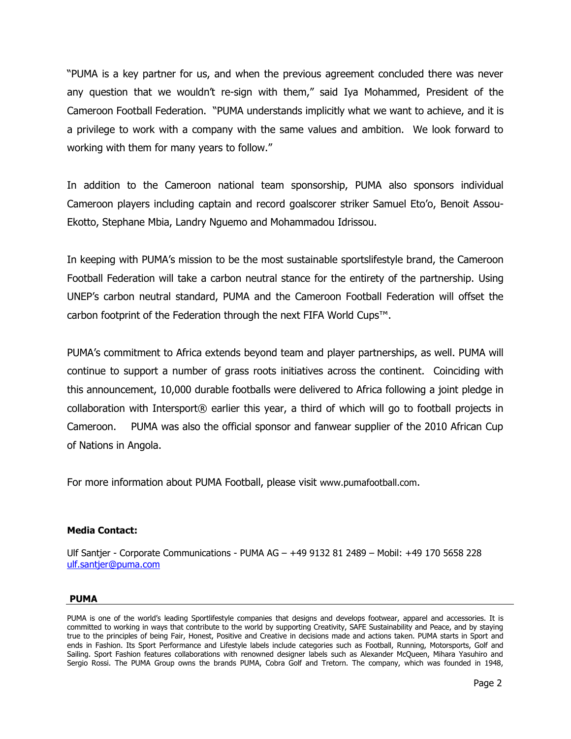"PUMA is a key partner for us, and when the previous agreement concluded there was never any question that we wouldn't re-sign with them," said Iya Mohammed, President of the Cameroon Football Federation. "PUMA understands implicitly what we want to achieve, and it is a privilege to work with a company with the same values and ambition. We look forward to working with them for many years to follow."

In addition to the Cameroon national team sponsorship, PUMA also sponsors individual Cameroon players including captain and record goalscorer striker Samuel Eto'o, Benoit Assou-Ekotto, Stephane Mbia, Landry Nguemo and Mohammadou Idrissou.

In keeping with PUMA's mission to be the most sustainable sportslifestyle brand, the Cameroon Football Federation will take a carbon neutral stance for the entirety of the partnership. Using UNEP's carbon neutral standard, PUMA and the Cameroon Football Federation will offset the carbon footprint of the Federation through the next FIFA World Cups™.

PUMA's commitment to Africa extends beyond team and player partnerships, as well. PUMA will continue to support a number of grass roots initiatives across the continent. Coinciding with this announcement, 10,000 durable footballs were delivered to Africa following a joint pledge in collaboration with Intersport® earlier this year, a third of which will go to football projects in Cameroon. PUMA was also the official sponsor and fanwear supplier of the 2010 African Cup of Nations in Angola.

For more information about PUMA Football, please visit [www.pumafootball.com](http://www.pumafootball.com/).

## **Media Contact:**

Ulf Santjer - Corporate Communications - PUMA AG – +49 9132 81 2489 – Mobil: +49 170 5658 228 [ulf.santjer@puma.com](../../../../../Press%20Release%20Templates/ulf.santjer@puma.com)

## **PUMA**

PUMA is one of the world's leading Sportlifestyle companies that designs and develops footwear, apparel and accessories. It is committed to working in ways that contribute to the world by supporting Creativity, SAFE Sustainability and Peace, and by staying true to the principles of being Fair, Honest, Positive and Creative in decisions made and actions taken. PUMA starts in Sport and ends in Fashion. Its Sport Performance and Lifestyle labels include categories such as Football, Running, Motorsports, Golf and Sailing. Sport Fashion features collaborations with renowned designer labels such as Alexander McQueen, Mihara Yasuhiro and Sergio Rossi. The PUMA Group owns the brands PUMA, Cobra Golf and Tretorn. The company, which was founded in 1948,